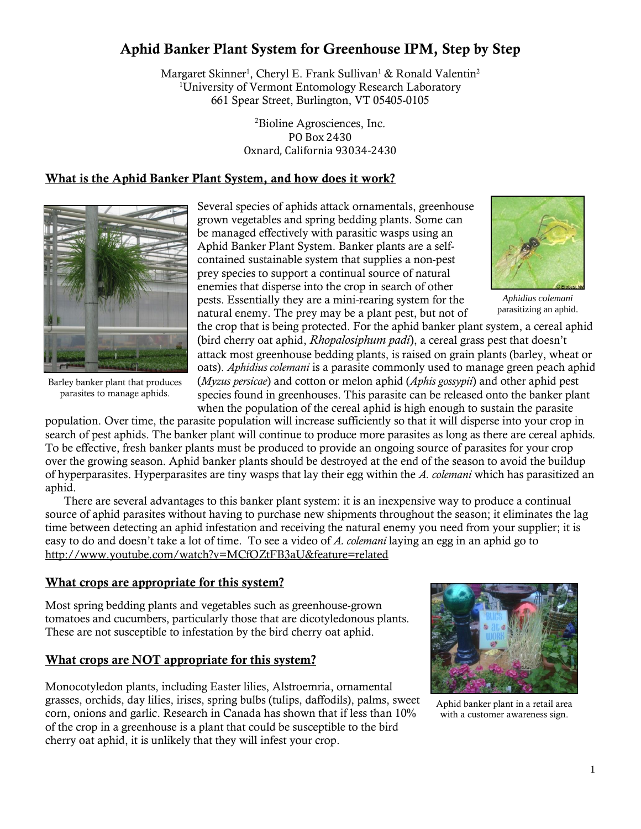# Aphid Banker Plant System for Greenhouse IPM, Step by Step

Margaret Skinner<sup>1</sup>, Cheryl E. Frank Sullivan<sup>1</sup> & Ronald Valentin<sup>2</sup> <sup>1</sup>University of Vermont Entomology Research Laboratory 661 Spear Street, Burlington, VT 05405-0105

> <sup>2</sup>Bioline Agrosciences, Inc. PO Box 2430 Oxnard, California 93034-2430

#### What is the Aphid Banker Plant System, and how does it work?



Barley banker plant that produces parasites to manage aphids.

Several species of aphids attack ornamentals, greenhouse grown vegetables and spring bedding plants. Some can be managed effectively with parasitic wasps using an Aphid Banker Plant System. Banker plants are a selfcontained sustainable system that supplies a non-pest prey species to support a continual source of natural enemies that disperse into the crop in search of other pests. Essentially they are a mini-rearing system for the natural enemy. The prey may be a plant pest, but not of

*Aphidius colemani* parasitizing an aphid.

the crop that is being protected. For the aphid banker plant system, a cereal aphid (bird cherry oat aphid, *Rhopalosiphum padi*), a cereal grass pest that doesn't attack most greenhouse bedding plants, is raised on grain plants (barley, wheat or oats). *Aphidius colemani* is a parasite commonly used to manage green peach aphid (*Myzus persicae*) and cotton or melon aphid (*Aphis gossypii*) and other aphid pest species found in greenhouses. This parasite can be released onto the banker plant when the population of the cereal aphid is high enough to sustain the parasite

population. Over time, the parasite population will increase sufficiently so that it will disperse into your crop in search of pest aphids. The banker plant will continue to produce more parasites as long as there are cereal aphids. To be effective, fresh banker plants must be produced to provide an ongoing source of parasites for your crop over the growing season. Aphid banker plants should be destroyed at the end of the season to avoid the buildup of hyperparasites. Hyperparasites are tiny wasps that lay their egg within the *A. colemani* which has parasitized an aphid.

There are several advantages to this banker plant system: it is an inexpensive way to produce a continual source of aphid parasites without having to purchase new shipments throughout the season; it eliminates the lag time between detecting an aphid infestation and receiving the natural enemy you need from your supplier; it is easy to do and doesn't take a lot of time. To see a video of *A. colemani* laying an egg in an aphid go to http://www.youtube.com/watch?v=MCfOZtFB3aU&feature=related

#### What crops are appropriate for this system?

Most spring bedding plants and vegetables such as greenhouse-grown tomatoes and cucumbers, particularly those that are dicotyledonous plants. These are not susceptible to infestation by the bird cherry oat aphid.

#### What crops are NOT appropriate for this system?

Monocotyledon plants, including Easter lilies, Alstroemria, ornamental grasses, orchids, day lilies, irises, spring bulbs (tulips, daffodils), palms, sweet corn, onions and garlic. Research in Canada has shown that if less than 10% of the crop in a greenhouse is a plant that could be susceptible to the bird cherry oat aphid, it is unlikely that they will infest your crop.



Aphid banker plant in a retail area with a customer awareness sign.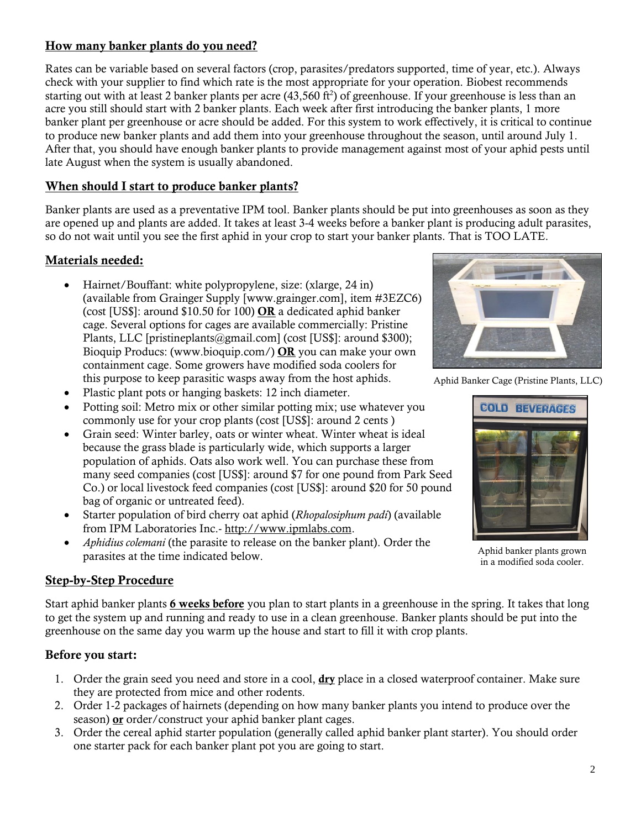## How many banker plants do you need?

Rates can be variable based on several factors (crop, parasites/predators supported, time of year, etc.). Always check with your supplier to find which rate is the most appropriate for your operation. Biobest recommends starting out with at least 2 banker plants per acre (43,560 ft<sup>2</sup>) of greenhouse. If your greenhouse is less than an acre you still should start with 2 banker plants. Each week after first introducing the banker plants, 1 more banker plant per greenhouse or acre should be added. For this system to work effectively, it is critical to continue to produce new banker plants and add them into your greenhouse throughout the season, until around July 1. After that, you should have enough banker plants to provide management against most of your aphid pests until late August when the system is usually abandoned.

## When should I start to produce banker plants?

Banker plants are used as a preventative IPM tool. Banker plants should be put into greenhouses as soon as they are opened up and plants are added. It takes at least 3-4 weeks before a banker plant is producing adult parasites, so do not wait until you see the first aphid in your crop to start your banker plants. That is TOO LATE.

## Materials needed:

- Hairnet/Bouffant: white polypropylene, size: (xlarge, 24 in) (available from Grainger Supply [www.grainger.com], item #3EZC6) (cost [US\$]: around \$10.50 for 100) OR a dedicated aphid banker cage. Several options for cages are available commercially: Pristine Plants, LLC [pristineplants@gmail.com] (cost [US\$]: around \$300); Bioquip Producs: (www.bioquip.com/) OR you can make your own containment cage. Some growers have modified soda coolers for this purpose to keep parasitic wasps away from the host aphids.
- Plastic plant pots or hanging baskets: 12 inch diameter.
- Potting soil: Metro mix or other similar potting mix; use whatever you commonly use for your crop plants (cost [US\$]: around 2 cents )
- Grain seed: Winter barley, oats or winter wheat. Winter wheat is ideal because the grass blade is particularly wide, which supports a larger population of aphids. Oats also work well. You can purchase these from many seed companies (cost [US\$]: around \$7 for one pound from Park Seed Co.) or local livestock feed companies (cost [US\$]: around \$20 for 50 pound bag of organic or untreated feed).
- Starter population of bird cherry oat aphid (*Rhopalosiphum padi*) (available from IPM Laboratories Inc.- http://www.ipmlabs.com.
- *Aphidius colemani* (the parasite to release on the banker plant). Order the parasites at the time indicated below.

# Step-by-Step Procedure

Start aphid banker plants 6 weeks before you plan to start plants in a greenhouse in the spring. It takes that long to get the system up and running and ready to use in a clean greenhouse. Banker plants should be put into the greenhouse on the same day you warm up the house and start to fill it with crop plants.

## Before you start:

- 1. Order the grain seed you need and store in a cool, dry place in a closed waterproof container. Make sure they are protected from mice and other rodents.
- 2. Order 1-2 packages of hairnets (depending on how many banker plants you intend to produce over the season) or order/construct your aphid banker plant cages.
- 3. Order the cereal aphid starter population (generally called aphid banker plant starter). You should order one starter pack for each banker plant pot you are going to start.



Aphid Banker Cage (Pristine Plants, LLC)



Aphid banker plants grown in a modified soda cooler.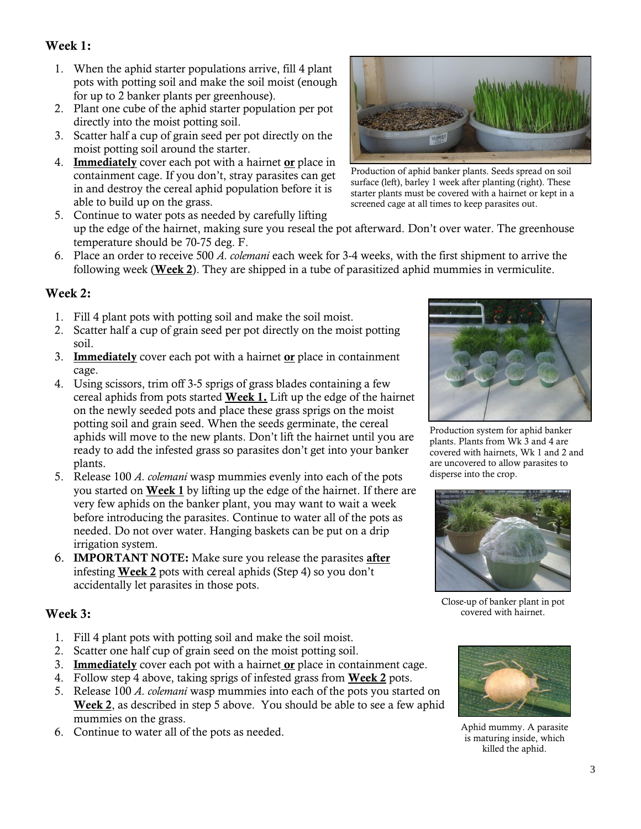# Week 1:

- 1. When the aphid starter populations arrive, fill 4 plant pots with potting soil and make the soil moist (enough for up to 2 banker plants per greenhouse).
- 2. Plant one cube of the aphid starter population per pot directly into the moist potting soil.
- 3. Scatter half a cup of grain seed per pot directly on the moist potting soil around the starter.
- 4. Immediately cover each pot with a hairnet or place in containment cage. If you don't, stray parasites can get in and destroy the cereal aphid population before it is able to build up on the grass.
- 5. Continue to water pots as needed by carefully lifting up the edge of the hairnet, making sure you reseal the pot afterward. Don't over water. The greenhouse temperature should be 70-75 deg. F.
- 6. Place an order to receive 500 *A. colemani* each week for 3-4 weeks, with the first shipment to arrive the following week (Week 2). They are shipped in a tube of parasitized aphid mummies in vermiculite.

## Week 2:

- 1. Fill 4 plant pots with potting soil and make the soil moist.
- 2. Scatter half a cup of grain seed per pot directly on the moist potting soil.
- 3. **Immediately** cover each pot with a hairnet  $or$  place in containment cage.
- 4. Using scissors, trim off 3-5 sprigs of grass blades containing a few cereal aphids from pots started Week 1. Lift up the edge of the hairnet on the newly seeded pots and place these grass sprigs on the moist potting soil and grain seed. When the seeds germinate, the cereal aphids will move to the new plants. Don't lift the hairnet until you are ready to add the infested grass so parasites don't get into your banker plants.
- 5. Release 100 *A. colemani* wasp mummies evenly into each of the pots you started on Week 1 by lifting up the edge of the hairnet. If there are very few aphids on the banker plant, you may want to wait a week before introducing the parasites. Continue to water all of the pots as needed. Do not over water. Hanging baskets can be put on a drip irrigation system.
- 6. IMPORTANT NOTE: Make sure you release the parasites after infesting Week 2 pots with cereal aphids (Step 4) so you don't accidentally let parasites in those pots.

## Week 3:

- 1. Fill 4 plant pots with potting soil and make the soil moist.
- 2. Scatter one half cup of grain seed on the moist potting soil.
- 3. Immediately cover each pot with a hairnet or place in containment cage.
- 4. Follow step 4 above, taking sprigs of infested grass from **Week 2** pots.
- 5. Release 100 *A. colemani* wasp mummies into each of the pots you started on Week 2, as described in step 5 above. You should be able to see a few aphid mummies on the grass.
- 6. Continue to water all of the pots as needed. Aphid mummy. A parasite



Production of aphid banker plants. Seeds spread on soil surface (left), barley 1 week after planting (right). These starter plants must be covered with a hairnet or kept in a screened cage at all times to keep parasites out.



Production system for aphid banker plants. Plants from Wk 3 and 4 are covered with hairnets, Wk 1 and 2 and are uncovered to allow parasites to disperse into the crop.



Close-up of banker plant in pot covered with hairnet.



is maturing inside, which killed the aphid.